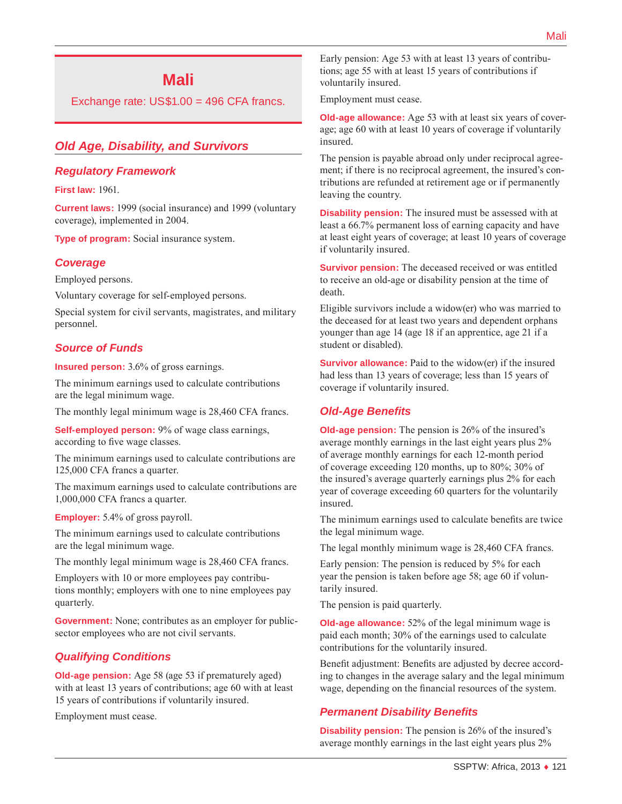# **Mali**

Exchange rate: US\$1.00 = 496 CFA francs.

### *Old Age, Disability, and Survivors*

#### *Regulatory Framework*

**First law:** 1961.

**Current laws:** 1999 (social insurance) and 1999 (voluntary coverage), implemented in 2004.

**Type of program:** Social insurance system.

#### *Coverage*

Employed persons.

Voluntary coverage for self-employed persons.

Special system for civil servants, magistrates, and military personnel.

### *Source of Funds*

**Insured person:** 3.6% of gross earnings.

The minimum earnings used to calculate contributions are the legal minimum wage.

The monthly legal minimum wage is 28,460 CFA francs.

**Self-employed person:** 9% of wage class earnings, according to five wage classes.

The minimum earnings used to calculate contributions are 125,000 CFA francs a quarter.

The maximum earnings used to calculate contributions are 1,000,000 CFA francs a quarter.

**Employer:** 5.4% of gross payroll.

The minimum earnings used to calculate contributions are the legal minimum wage.

The monthly legal minimum wage is 28,460 CFA francs.

Employers with 10 or more employees pay contributions monthly; employers with one to nine employees pay quarterly.

**Government:** None; contributes as an employer for publicsector employees who are not civil servants.

#### *Qualifying Conditions*

**Old-age pension:** Age 58 (age 53 if prematurely aged) with at least 13 years of contributions; age 60 with at least 15 years of contributions if voluntarily insured.

Employment must cease.

Early pension: Age 53 with at least 13 years of contributions; age 55 with at least 15 years of contributions if voluntarily insured.

Employment must cease.

**Old-age allowance:** Age 53 with at least six years of coverage; age 60 with at least 10 years of coverage if voluntarily insured.

The pension is payable abroad only under reciprocal agreement; if there is no reciprocal agreement, the insured's contributions are refunded at retirement age or if permanently leaving the country.

**Disability pension:** The insured must be assessed with at least a 66.7% permanent loss of earning capacity and have at least eight years of coverage; at least 10 years of coverage if voluntarily insured.

**Survivor pension:** The deceased received or was entitled to receive an old-age or disability pension at the time of death.

Eligible survivors include a widow(er) who was married to the deceased for at least two years and dependent orphans younger than age 14 (age 18 if an apprentice, age 21 if a student or disabled).

**Survivor allowance:** Paid to the widow(er) if the insured had less than 13 years of coverage; less than 15 years of coverage if voluntarily insured.

#### *Old-Age Benefits*

**Old-age pension:** The pension is 26% of the insured's average monthly earnings in the last eight years plus 2% of average monthly earnings for each 12-month period of coverage exceeding 120 months, up to 80%; 30% of the insured's average quarterly earnings plus 2% for each year of coverage exceeding 60 quarters for the voluntarily insured.

The minimum earnings used to calculate benefits are twice the legal minimum wage.

The legal monthly minimum wage is 28,460 CFA francs.

Early pension: The pension is reduced by 5% for each year the pension is taken before age 58; age 60 if voluntarily insured.

The pension is paid quarterly.

**Old-age allowance:** 52% of the legal minimum wage is paid each month; 30% of the earnings used to calculate contributions for the voluntarily insured.

Benefit adjustment: Benefits are adjusted by decree according to changes in the average salary and the legal minimum wage, depending on the financial resources of the system.

#### *Permanent Disability Benefits*

**Disability pension:** The pension is 26% of the insured's average monthly earnings in the last eight years plus 2%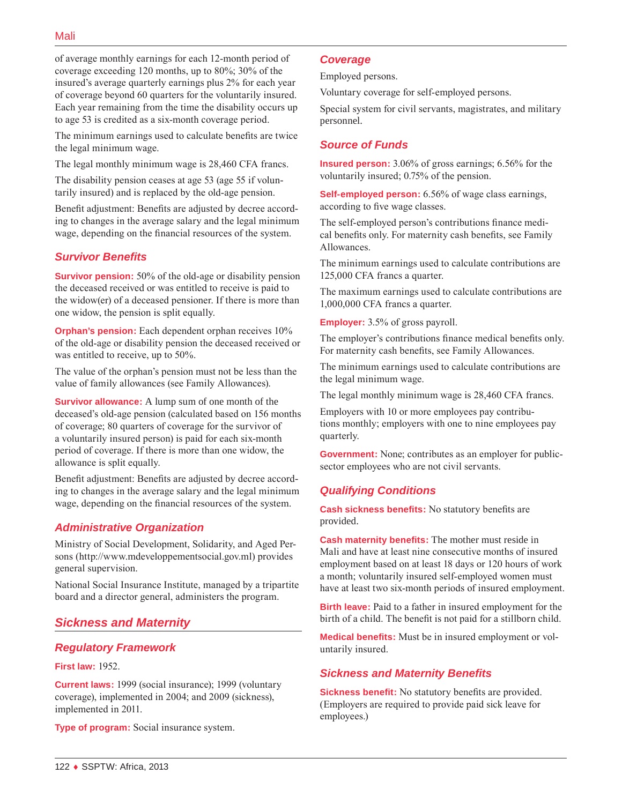of average monthly earnings for each 12-month period of coverage exceeding 120 months, up to 80%; 30% of the insured's average quarterly earnings plus 2% for each year of coverage beyond 60 quarters for the voluntarily insured. Each year remaining from the time the disability occurs up to age 53 is credited as a six-month coverage period.

The minimum earnings used to calculate benefits are twice the legal minimum wage.

The legal monthly minimum wage is 28,460 CFA francs.

The disability pension ceases at age 53 (age 55 if voluntarily insured) and is replaced by the old-age pension.

Benefit adjustment: Benefits are adjusted by decree according to changes in the average salary and the legal minimum wage, depending on the financial resources of the system.

### *Survivor Benefits*

**Survivor pension:** 50% of the old-age or disability pension the deceased received or was entitled to receive is paid to the widow(er) of a deceased pensioner. If there is more than one widow, the pension is split equally.

**Orphan's pension:** Each dependent orphan receives 10% of the old-age or disability pension the deceased received or was entitled to receive, up to 50%.

The value of the orphan's pension must not be less than the value of family allowances (see Family Allowances).

**Survivor allowance:** A lump sum of one month of the deceased's old-age pension (calculated based on 156 months of coverage; 80 quarters of coverage for the survivor of a voluntarily insured person) is paid for each six-month period of coverage. If there is more than one widow, the allowance is split equally.

Benefit adjustment: Benefits are adjusted by decree according to changes in the average salary and the legal minimum wage, depending on the financial resources of the system.

## *Administrative Organization*

Ministry of Social Development, Solidarity, and Aged Persons ([http://www.mdeveloppementsocial.gov.ml\)](http://www.mdeveloppementsocial.gov.ml) provides general supervision.

National Social Insurance Institute, managed by a tripartite board and a director general, administers the program.

## *Sickness and Maternity*

## *Regulatory Framework*

#### **First law:** 1952.

**Current laws:** 1999 (social insurance); 1999 (voluntary coverage), implemented in 2004; and 2009 (sickness), implemented in 2011.

**Type of program:** Social insurance system.

### *Coverage*

Employed persons.

Voluntary coverage for self-employed persons.

Special system for civil servants, magistrates, and military personnel.

### *Source of Funds*

**Insured person:** 3.06% of gross earnings; 6.56% for the voluntarily insured; 0.75% of the pension.

**Self-employed person:** 6.56% of wage class earnings, according to five wage classes.

The self-employed person's contributions finance medical benefits only. For maternity cash benefits, see Family Allowances.

The minimum earnings used to calculate contributions are 125,000 CFA francs a quarter.

The maximum earnings used to calculate contributions are 1,000,000 CFA francs a quarter.

**Employer:** 3.5% of gross payroll.

The employer's contributions finance medical benefits only. For maternity cash benefits, see Family Allowances.

The minimum earnings used to calculate contributions are the legal minimum wage.

The legal monthly minimum wage is 28,460 CFA francs.

Employers with 10 or more employees pay contributions monthly; employers with one to nine employees pay quarterly.

**Government:** None; contributes as an employer for publicsector employees who are not civil servants.

## *Qualifying Conditions*

**Cash sickness benefits:** No statutory benefits are provided.

**Cash maternity benefits:** The mother must reside in Mali and have at least nine consecutive months of insured employment based on at least 18 days or 120 hours of work a month; voluntarily insured self-employed women must have at least two six-month periods of insured employment.

**Birth leave:** Paid to a father in insured employment for the birth of a child. The benefit is not paid for a stillborn child.

**Medical benefits:** Must be in insured employment or voluntarily insured.

## *Sickness and Maternity Benefits*

**Sickness benefit:** No statutory benefits are provided. (Employers are required to provide paid sick leave for employees.)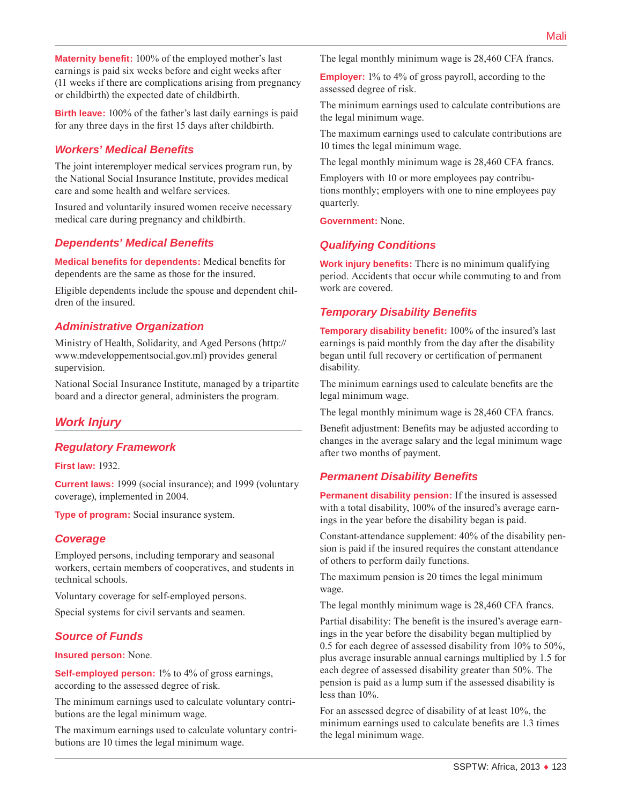**Maternity benefit:** 100% of the employed mother's last earnings is paid six weeks before and eight weeks after (11 weeks if there are complications arising from pregnancy or childbirth) the expected date of childbirth.

**Birth leave:** 100% of the father's last daily earnings is paid for any three days in the first 15 days after childbirth.

## *Workers' Medical Benefits*

The joint interemployer medical services program run, by the National Social Insurance Institute, provides medical care and some health and welfare services.

Insured and voluntarily insured women receive necessary medical care during pregnancy and childbirth.

### *Dependents' Medical Benefits*

**Medical benefits for dependents:** Medical benefits for dependents are the same as those for the insured.

Eligible dependents include the spouse and dependent children of the insured.

## *Administrative Organization*

Ministry of Health, Solidarity, and Aged Persons ([http://](http://www.mdeveloppementsocial.gov.ml) [www.mdeveloppementsocial.gov.ml](http://www.mdeveloppementsocial.gov.ml)) provides general supervision.

National Social Insurance Institute, managed by a tripartite board and a director general, administers the program.

## *Work Injury*

## *Regulatory Framework*

**First law:** 1932.

**Current laws:** 1999 (social insurance); and 1999 (voluntary coverage), implemented in 2004.

**Type of program:** Social insurance system.

### *Coverage*

Employed persons, including temporary and seasonal workers, certain members of cooperatives, and students in technical schools.

Voluntary coverage for self-employed persons.

Special systems for civil servants and seamen.

### *Source of Funds*

#### **Insured person:** None.

**Self-employed person:** 1% to 4% of gross earnings, according to the assessed degree of risk.

The minimum earnings used to calculate voluntary contributions are the legal minimum wage.

The maximum earnings used to calculate voluntary contributions are 10 times the legal minimum wage.

The legal monthly minimum wage is 28,460 CFA francs.

**Employer:** 1% to 4% of gross payroll, according to the assessed degree of risk.

The minimum earnings used to calculate contributions are the legal minimum wage.

The maximum earnings used to calculate contributions are 10 times the legal minimum wage.

The legal monthly minimum wage is 28,460 CFA francs.

Employers with 10 or more employees pay contributions monthly; employers with one to nine employees pay quarterly.

**Government:** None.

## *Qualifying Conditions*

**Work injury benefits:** There is no minimum qualifying period. Accidents that occur while commuting to and from work are covered.

## *Temporary Disability Benefits*

**Temporary disability benefit:** 100% of the insured's last earnings is paid monthly from the day after the disability began until full recovery or certification of permanent disability.

The minimum earnings used to calculate benefits are the legal minimum wage.

The legal monthly minimum wage is 28,460 CFA francs.

Benefit adjustment: Benefits may be adjusted according to changes in the average salary and the legal minimum wage after two months of payment.

## *Permanent Disability Benefits*

**Permanent disability pension:** If the insured is assessed with a total disability, 100% of the insured's average earnings in the year before the disability began is paid.

Constant-attendance supplement: 40% of the disability pension is paid if the insured requires the constant attendance of others to perform daily functions.

The maximum pension is 20 times the legal minimum wage.

The legal monthly minimum wage is 28,460 CFA francs.

Partial disability: The benefit is the insured's average earnings in the year before the disability began multiplied by 0.5 for each degree of assessed disability from 10% to 50%, plus average insurable annual earnings multiplied by 1.5 for each degree of assessed disability greater than 50%. The pension is paid as a lump sum if the assessed disability is less than 10%.

For an assessed degree of disability of at least 10%, the minimum earnings used to calculate benefits are 1.3 times the legal minimum wage.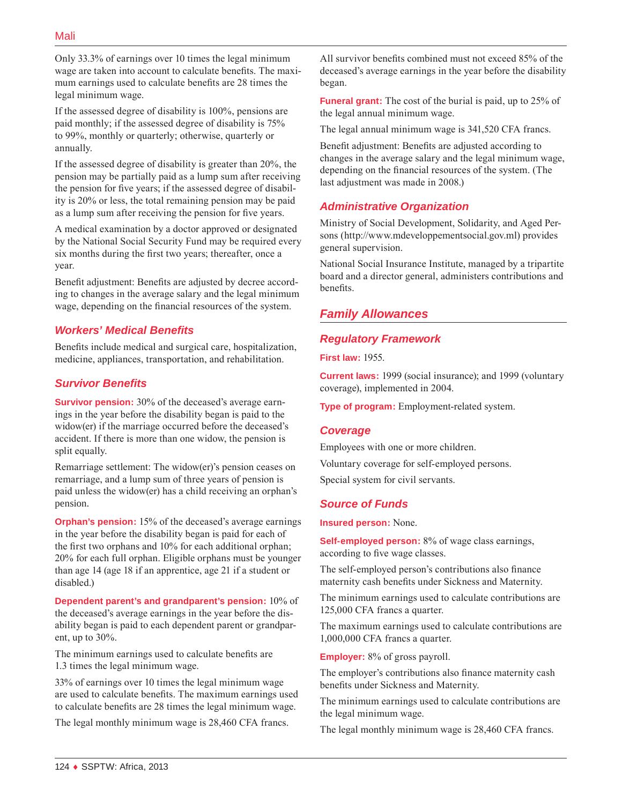Only 33.3% of earnings over 10 times the legal minimum wage are taken into account to calculate benefits. The maximum earnings used to calculate benefits are 28 times the legal minimum wage.

If the assessed degree of disability is 100%, pensions are paid monthly; if the assessed degree of disability is 75% to 99%, monthly or quarterly; otherwise, quarterly or annually.

If the assessed degree of disability is greater than 20%, the pension may be partially paid as a lump sum after receiving the pension for five years; if the assessed degree of disability is 20% or less, the total remaining pension may be paid as a lump sum after receiving the pension for five years.

A medical examination by a doctor approved or designated by the National Social Security Fund may be required every six months during the first two years; thereafter, once a year.

Benefit adjustment: Benefits are adjusted by decree according to changes in the average salary and the legal minimum wage, depending on the financial resources of the system.

## *Workers' Medical Benefits*

Benefits include medical and surgical care, hospitalization, medicine, appliances, transportation, and rehabilitation.

## *Survivor Benefits*

**Survivor pension:** 30% of the deceased's average earnings in the year before the disability began is paid to the widow(er) if the marriage occurred before the deceased's accident. If there is more than one widow, the pension is split equally.

Remarriage settlement: The widow(er)'s pension ceases on remarriage, and a lump sum of three years of pension is paid unless the widow(er) has a child receiving an orphan's pension.

**Orphan's pension:** 15% of the deceased's average earnings in the year before the disability began is paid for each of the first two orphans and 10% for each additional orphan; 20% for each full orphan. Eligible orphans must be younger than age 14 (age 18 if an apprentice, age 21 if a student or disabled.)

**Dependent parent's and grandparent's pension:** 10% of the deceased's average earnings in the year before the disability began is paid to each dependent parent or grandparent, up to 30%.

The minimum earnings used to calculate benefits are 1.3 times the legal minimum wage.

33% of earnings over 10 times the legal minimum wage are used to calculate benefits. The maximum earnings used to calculate benefits are 28 times the legal minimum wage.

The legal monthly minimum wage is 28,460 CFA francs.

All survivor benefits combined must not exceed 85% of the deceased's average earnings in the year before the disability began.

**Funeral grant:** The cost of the burial is paid, up to 25% of the legal annual minimum wage.

The legal annual minimum wage is 341,520 CFA francs.

Benefit adjustment: Benefits are adjusted according to changes in the average salary and the legal minimum wage, depending on the financial resources of the system. (The last adjustment was made in 2008.)

## *Administrative Organization*

Ministry of Social Development, Solidarity, and Aged Persons ([http://www.mdeveloppementsocial.gov.ml\)](http://www.mdeveloppementsocial.gov.ml) provides general supervision.

National Social Insurance Institute, managed by a tripartite board and a director general, administers contributions and benefits.

## *Family Allowances*

## *Regulatory Framework*

**First law:** 1955.

**Current laws:** 1999 (social insurance); and 1999 (voluntary coverage), implemented in 2004.

**Type of program:** Employment-related system.

## *Coverage*

Employees with one or more children. Voluntary coverage for self-employed persons. Special system for civil servants.

## *Source of Funds*

**Insured person:** None.

**Self-employed person:** 8% of wage class earnings, according to five wage classes.

The self-employed person's contributions also finance maternity cash benefits under Sickness and Maternity.

The minimum earnings used to calculate contributions are 125,000 CFA francs a quarter.

The maximum earnings used to calculate contributions are 1,000,000 CFA francs a quarter.

**Employer:** 8% of gross payroll.

The employer's contributions also finance maternity cash benefits under Sickness and Maternity.

The minimum earnings used to calculate contributions are the legal minimum wage.

The legal monthly minimum wage is 28,460 CFA francs.